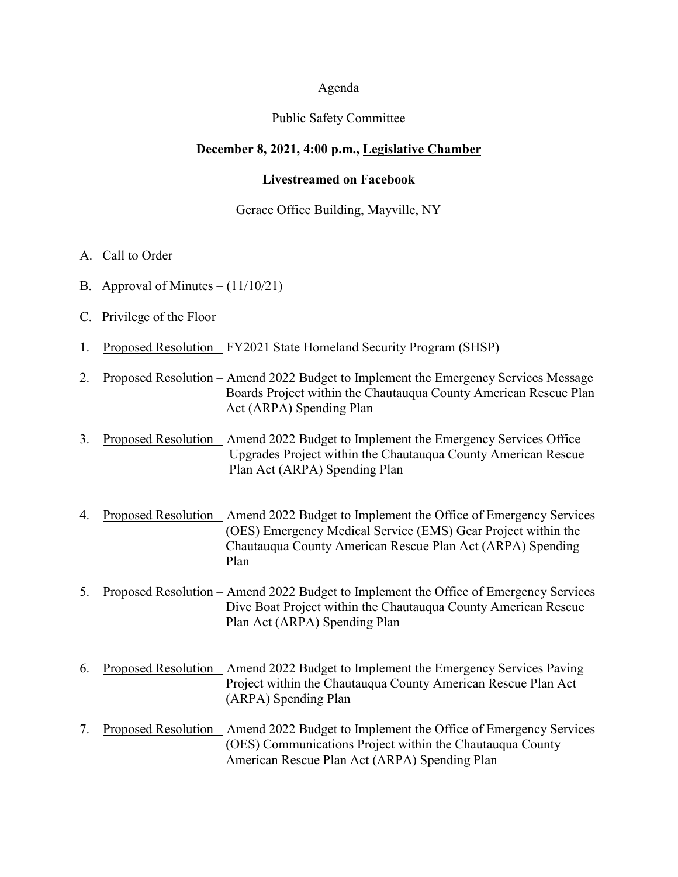#### Agenda

#### Public Safety Committee

#### **December 8, 2021, 4:00 p.m., Legislative Chamber**

#### **Livestreamed on Facebook**

#### Gerace Office Building, Mayville, NY

- A. Call to Order
- B. Approval of Minutes  $(11/10/21)$
- C. Privilege of the Floor
- 1. Proposed Resolution FY2021 State Homeland Security Program (SHSP)
- 2. Proposed Resolution Amend 2022 Budget to Implement the Emergency Services Message Boards Project within the Chautauqua County American Rescue Plan Act (ARPA) Spending Plan
- 3. Proposed Resolution Amend 2022 Budget to Implement the Emergency Services Office Upgrades Project within the Chautauqua County American Rescue Plan Act (ARPA) Spending Plan
- 4. Proposed Resolution Amend 2022 Budget to Implement the Office of Emergency Services (OES) Emergency Medical Service (EMS) Gear Project within the Chautauqua County American Rescue Plan Act (ARPA) Spending Plan
- 5. Proposed Resolution Amend 2022 Budget to Implement the Office of Emergency Services Dive Boat Project within the Chautauqua County American Rescue Plan Act (ARPA) Spending Plan
- 6. Proposed Resolution Amend 2022 Budget to Implement the Emergency Services Paving Project within the Chautauqua County American Rescue Plan Act (ARPA) Spending Plan
- 7. Proposed Resolution Amend 2022 Budget to Implement the Office of Emergency Services (OES) Communications Project within the Chautauqua County American Rescue Plan Act (ARPA) Spending Plan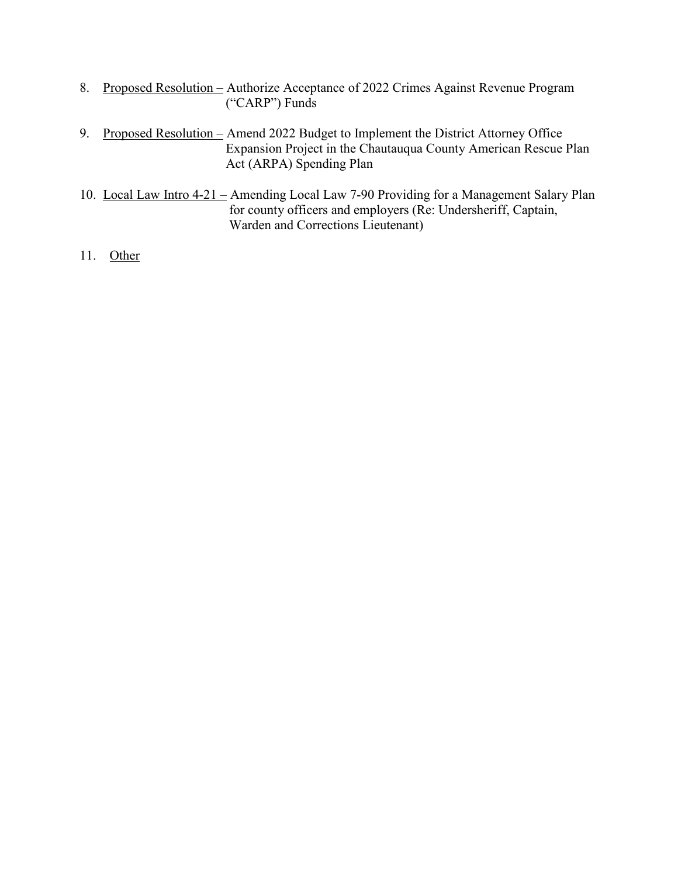- 8. Proposed Resolution Authorize Acceptance of 2022 Crimes Against Revenue Program ("CARP") Funds
- 9. Proposed Resolution Amend 2022 Budget to Implement the District Attorney Office Expansion Project in the Chautauqua County American Rescue Plan Act (ARPA) Spending Plan
- 10. Local Law Intro 4-21 Amending Local Law 7-90 Providing for a Management Salary Plan for county officers and employers (Re: Undersheriff, Captain, Warden and Corrections Lieutenant)
- 11. Other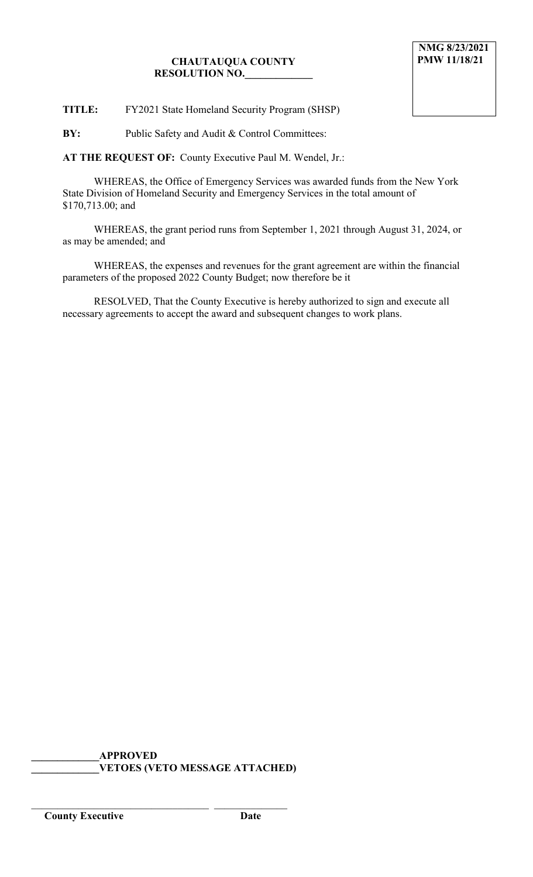# **CHAUTAUQUA COUNTY RESOLUTION NO.\_\_\_\_\_\_\_\_\_\_\_\_\_**

**TITLE:** FY2021 State Homeland Security Program (SHSP)

**BY:** Public Safety and Audit & Control Committees:

**AT THE REQUEST OF:** County Executive Paul M. Wendel, Jr.:

WHEREAS, the Office of Emergency Services was awarded funds from the New York State Division of Homeland Security and Emergency Services in the total amount of \$170,713.00; and

WHEREAS, the grant period runs from September 1, 2021 through August 31, 2024, or as may be amended; and

WHEREAS, the expenses and revenues for the grant agreement are within the financial parameters of the proposed 2022 County Budget; now therefore be it

RESOLVED, That the County Executive is hereby authorized to sign and execute all necessary agreements to accept the award and subsequent changes to work plans.

**\_\_\_\_\_\_\_\_\_\_\_\_\_APPROVED \_\_\_\_\_\_\_\_\_\_\_\_\_VETOES (VETO MESSAGE ATTACHED)**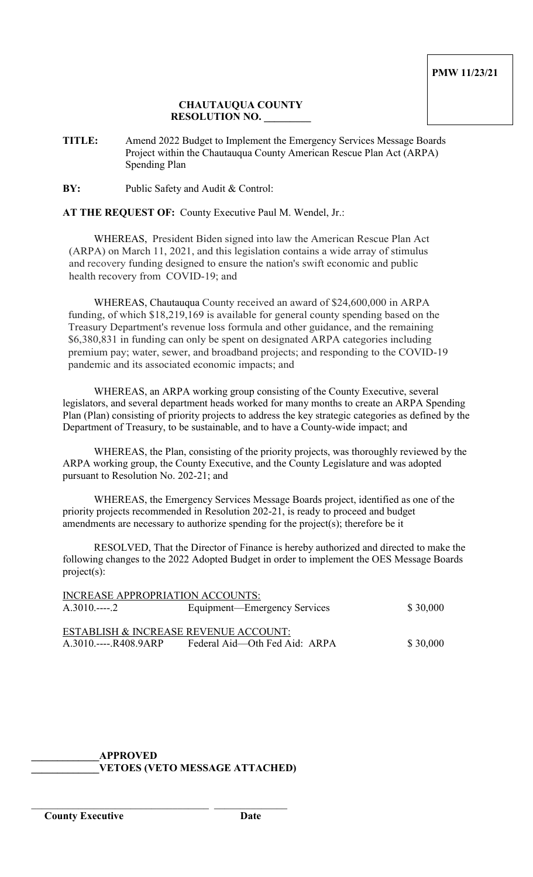## **CHAUTAUQUA COUNTY RESOLUTION NO. \_\_\_\_\_\_\_\_\_**

**TITLE:** Amend 2022 Budget to Implement the Emergency Services Message Boards Project within the Chautauqua County American Rescue Plan Act (ARPA) Spending Plan

**BY:** Public Safety and Audit & Control:

**AT THE REQUEST OF:** County Executive Paul M. Wendel, Jr.:

WHEREAS, President Biden signed into law the American Rescue Plan Act (ARPA) on March 11, 2021, and this legislation contains a wide array of stimulus and recovery funding designed to ensure the nation's swift economic and public health recovery from COVID-19; and

WHEREAS, Chautauqua County received an award of \$24,600,000 in ARPA funding, of which \$18,219,169 is available for general county spending based on the Treasury Department's revenue loss formula and other guidance, and the remaining \$6,380,831 in funding can only be spent on designated ARPA categories including premium pay; water, sewer, and broadband projects; and responding to the COVID-19 pandemic and its associated economic impacts; and

WHEREAS, an ARPA working group consisting of the County Executive, several legislators, and several department heads worked for many months to create an ARPA Spending Plan (Plan) consisting of priority projects to address the key strategic categories as defined by the Department of Treasury, to be sustainable, and to have a County-wide impact; and

WHEREAS, the Plan, consisting of the priority projects, was thoroughly reviewed by the ARPA working group, the County Executive, and the County Legislature and was adopted pursuant to Resolution No. 202-21; and

WHEREAS, the Emergency Services Message Boards project, identified as one of the priority projects recommended in Resolution 202-21, is ready to proceed and budget amendments are necessary to authorize spending for the project(s); therefore be it

RESOLVED, That the Director of Finance is hereby authorized and directed to make the following changes to the 2022 Adopted Budget in order to implement the OES Message Boards project(s):

| INCREASE APPROPRIATION ACCOUNTS:      |                               |          |  |  |
|---------------------------------------|-------------------------------|----------|--|--|
| $A.3010$ 2                            | Equipment—Emergency Services  | \$30,000 |  |  |
|                                       |                               |          |  |  |
|                                       |                               |          |  |  |
| ESTABLISH & INCREASE REVENUE ACCOUNT: |                               |          |  |  |
| A.3010.----.R408.9ARP                 | Federal Aid—Oth Fed Aid: ARPA | \$30,000 |  |  |
|                                       |                               |          |  |  |

**\_\_\_\_\_\_\_\_\_\_\_\_\_APPROVED \_\_\_\_\_\_\_\_\_\_\_\_\_VETOES (VETO MESSAGE ATTACHED)**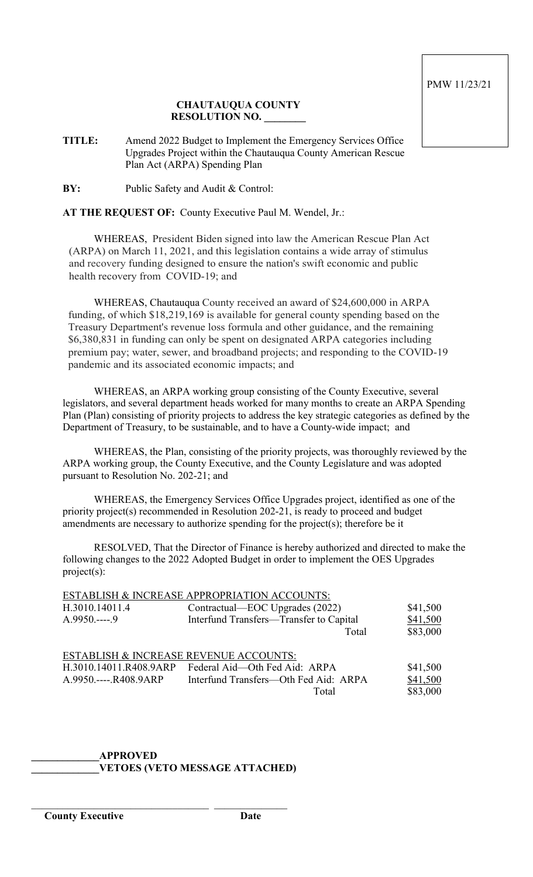## **CHAUTAUQUA COUNTY RESOLUTION NO. \_\_\_\_\_\_\_\_**

**TITLE:** Amend 2022 Budget to Implement the Emergency Services Office Upgrades Project within the Chautauqua County American Rescue Plan Act (ARPA) Spending Plan

**BY:** Public Safety and Audit & Control:

## **AT THE REQUEST OF:** County Executive Paul M. Wendel, Jr.:

WHEREAS, President Biden signed into law the American Rescue Plan Act (ARPA) on March 11, 2021, and this legislation contains a wide array of stimulus and recovery funding designed to ensure the nation's swift economic and public health recovery from COVID-19; and

WHEREAS, Chautauqua County received an award of \$24,600,000 in ARPA funding, of which \$18,219,169 is available for general county spending based on the Treasury Department's revenue loss formula and other guidance, and the remaining \$6,380,831 in funding can only be spent on designated ARPA categories including premium pay; water, sewer, and broadband projects; and responding to the COVID-19 pandemic and its associated economic impacts; and

WHEREAS, an ARPA working group consisting of the County Executive, several legislators, and several department heads worked for many months to create an ARPA Spending Plan (Plan) consisting of priority projects to address the key strategic categories as defined by the Department of Treasury, to be sustainable, and to have a County-wide impact; and

WHEREAS, the Plan, consisting of the priority projects, was thoroughly reviewed by the ARPA working group, the County Executive, and the County Legislature and was adopted pursuant to Resolution No. 202-21; and

WHEREAS, the Emergency Services Office Upgrades project, identified as one of the priority project(s) recommended in Resolution 202-21, is ready to proceed and budget amendments are necessary to authorize spending for the project(s); therefore be it

RESOLVED, That the Director of Finance is hereby authorized and directed to make the following changes to the 2022 Adopted Budget in order to implement the OES Upgrades project(s):

| ESTABLISH & INCREASE APPROPRIATION ACCOUNTS: |                                         |          |  |  |  |
|----------------------------------------------|-----------------------------------------|----------|--|--|--|
| H.3010.14011.4                               | Contractual—EOC Upgrades (2022)         | \$41,500 |  |  |  |
| $A.9950---9$                                 | Interfund Transfers-Transfer to Capital | \$41,500 |  |  |  |
|                                              | Total                                   | \$83,000 |  |  |  |
|                                              |                                         |          |  |  |  |
| ESTABLISH & INCREASE REVENUE ACCOUNTS:       |                                         |          |  |  |  |
| H.3010.14011.R408.9ARP                       | Federal Aid—Oth Fed Aid: ARPA           | \$41,500 |  |  |  |
| A.9950.----.R408.9ARP                        | Interfund Transfers—Oth Fed Aid: ARPA   | \$41,500 |  |  |  |
|                                              | Total                                   | \$83,000 |  |  |  |
|                                              |                                         |          |  |  |  |

#### **\_\_\_\_\_\_\_\_\_\_\_\_\_APPROVED \_\_\_\_\_\_\_\_\_\_\_\_\_VETOES (VETO MESSAGE ATTACHED)**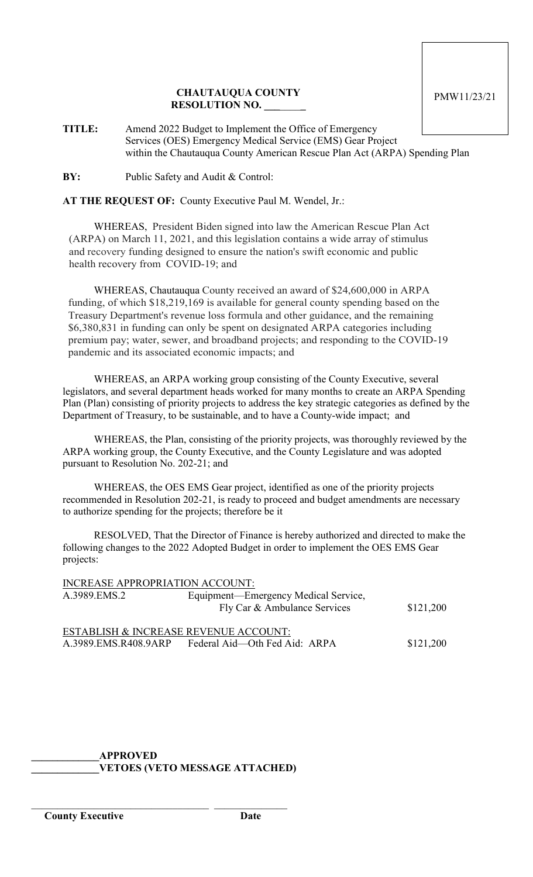### **CHAUTAUQUA COUNTY RESOLUTION NO. \_\_\_**\_\_\_\_**\_**

**TITLE:** Amend 2022 Budget to Implement the Office of Emergency Services (OES) Emergency Medical Service (EMS) Gear Project within the Chautauqua County American Rescue Plan Act (ARPA) Spending Plan

**BY:** Public Safety and Audit & Control:

**AT THE REQUEST OF:** County Executive Paul M. Wendel, Jr.:

WHEREAS, President Biden signed into law the American Rescue Plan Act (ARPA) on March 11, 2021, and this legislation contains a wide array of stimulus and recovery funding designed to ensure the nation's swift economic and public health recovery from COVID-19; and

WHEREAS, Chautauqua County received an award of \$24,600,000 in ARPA funding, of which \$18,219,169 is available for general county spending based on the Treasury Department's revenue loss formula and other guidance, and the remaining \$6,380,831 in funding can only be spent on designated ARPA categories including premium pay; water, sewer, and broadband projects; and responding to the COVID-19 pandemic and its associated economic impacts; and

WHEREAS, an ARPA working group consisting of the County Executive, several legislators, and several department heads worked for many months to create an ARPA Spending Plan (Plan) consisting of priority projects to address the key strategic categories as defined by the Department of Treasury, to be sustainable, and to have a County-wide impact; and

WHEREAS, the Plan, consisting of the priority projects, was thoroughly reviewed by the ARPA working group, the County Executive, and the County Legislature and was adopted pursuant to Resolution No. 202-21; and

WHEREAS, the OES EMS Gear project, identified as one of the priority projects recommended in Resolution 202-21, is ready to proceed and budget amendments are necessary to authorize spending for the projects; therefore be it

RESOLVED, That the Director of Finance is hereby authorized and directed to make the following changes to the 2022 Adopted Budget in order to implement the OES EMS Gear projects:

| <b>INCREASE APPROPRIATION ACCOUNT:</b> |                                       |           |
|----------------------------------------|---------------------------------------|-----------|
| A.3989.EMS.2                           | Equipment—Emergency Medical Service,  |           |
|                                        | Fly Car & Ambulance Services          | \$121,200 |
|                                        | ESTABLISH & INCREASE REVENUE ACCOUNT: |           |
| A.3989.EMS.R408.9ARP                   | Federal Aid—Oth Fed Aid: ARPA         | \$121,200 |

**\_\_\_\_\_\_\_\_\_\_\_\_\_APPROVED \_\_\_\_\_\_\_\_\_\_\_\_\_VETOES (VETO MESSAGE ATTACHED)**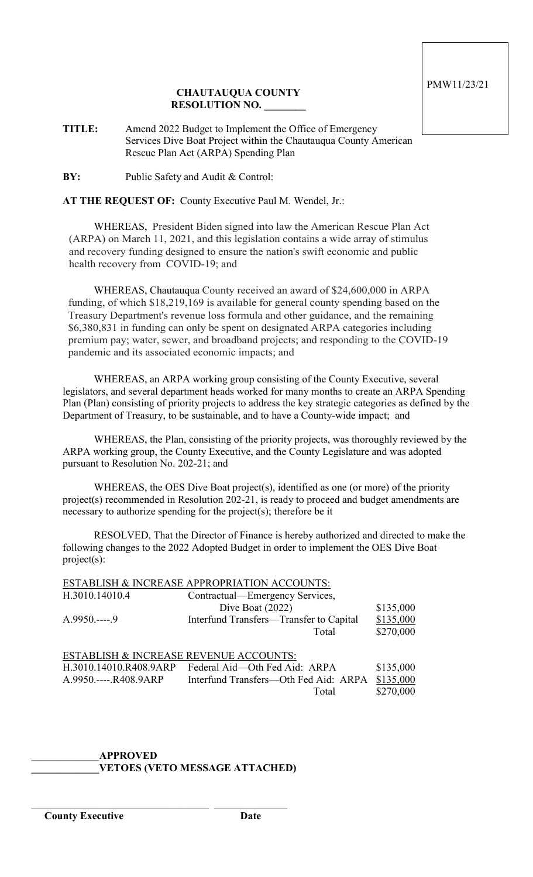## **CHAUTAUQUA COUNTY RESOLUTION NO. \_\_\_\_\_\_\_\_**

**TITLE:** Amend 2022 Budget to Implement the Office of Emergency Services Dive Boat Project within the Chautauqua County American Rescue Plan Act (ARPA) Spending Plan

**BY:** Public Safety and Audit & Control:

**AT THE REQUEST OF:** County Executive Paul M. Wendel, Jr.:

WHEREAS, President Biden signed into law the American Rescue Plan Act (ARPA) on March 11, 2021, and this legislation contains a wide array of stimulus and recovery funding designed to ensure the nation's swift economic and public health recovery from COVID-19; and

WHEREAS, Chautauqua County received an award of \$24,600,000 in ARPA funding, of which \$18,219,169 is available for general county spending based on the Treasury Department's revenue loss formula and other guidance, and the remaining \$6,380,831 in funding can only be spent on designated ARPA categories including premium pay; water, sewer, and broadband projects; and responding to the COVID-19 pandemic and its associated economic impacts; and

WHEREAS, an ARPA working group consisting of the County Executive, several legislators, and several department heads worked for many months to create an ARPA Spending Plan (Plan) consisting of priority projects to address the key strategic categories as defined by the Department of Treasury, to be sustainable, and to have a County-wide impact; and

WHEREAS, the Plan, consisting of the priority projects, was thoroughly reviewed by the ARPA working group, the County Executive, and the County Legislature and was adopted pursuant to Resolution No. 202-21; and

WHEREAS, the OES Dive Boat project(s), identified as one (or more) of the priority project(s) recommended in Resolution 202-21, is ready to proceed and budget amendments are necessary to authorize spending for the project(s); therefore be it

RESOLVED, That the Director of Finance is hereby authorized and directed to make the following changes to the 2022 Adopted Budget in order to implement the OES Dive Boat project(s):

| ESTABLISH & INCREASE APPROPRIATION ACCOUNTS: |                             |  |  |  |
|----------------------------------------------|-----------------------------|--|--|--|
| <del>. .</del>                               | $\sim$ $\sim$ $\sim$ $\sim$ |  |  |  |

| H.3010.14010.4                         | Contractual—Emergency Services,         |           |
|----------------------------------------|-----------------------------------------|-----------|
|                                        | Dive Boat $(2022)$                      | \$135,000 |
| $A.9950---9$                           | Interfund Transfers-Transfer to Capital | \$135,000 |
|                                        | Total                                   | \$270,000 |
|                                        |                                         |           |
| ESTABLISH & INCREASE REVENUE ACCOUNTS: |                                         |           |
| H.3010.14010.R408.9ARP                 | Federal Aid—Oth Fed Aid: ARPA           | \$135,000 |
| A.9950.----.R408.9ARP                  | Interfund Transfers—Oth Fed Aid: ARPA   | \$135,000 |
|                                        | Total                                   | \$270,000 |
|                                        |                                         |           |

#### **\_\_\_\_\_\_\_\_\_\_\_\_\_APPROVED \_\_\_\_\_\_\_\_\_\_\_\_\_VETOES (VETO MESSAGE ATTACHED)**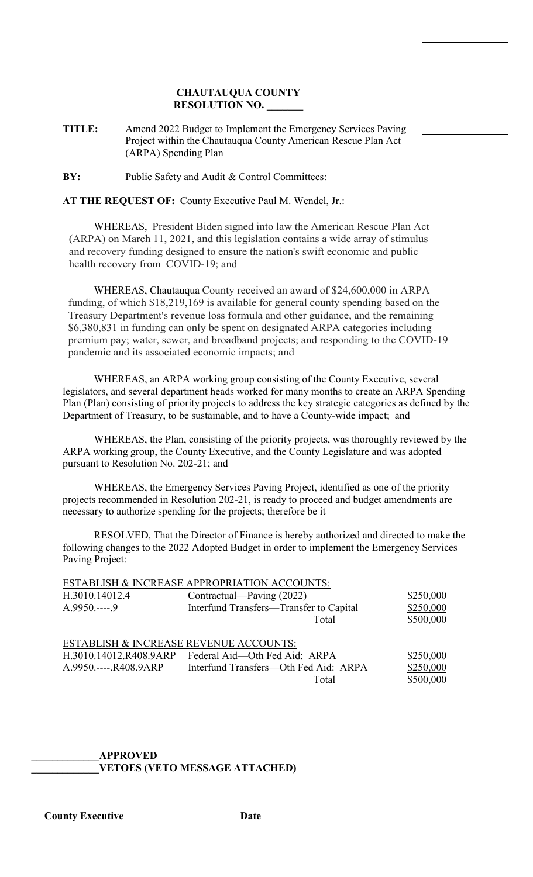## **CHAUTAUQUA COUNTY RESOLUTION NO. \_\_\_\_\_\_\_**

**TITLE:** Amend 2022 Budget to Implement the Emergency Services Paving Project within the Chautauqua County American Rescue Plan Act (ARPA) Spending Plan

**BY:** Public Safety and Audit & Control Committees:

**AT THE REQUEST OF:** County Executive Paul M. Wendel, Jr.:

WHEREAS, President Biden signed into law the American Rescue Plan Act (ARPA) on March 11, 2021, and this legislation contains a wide array of stimulus and recovery funding designed to ensure the nation's swift economic and public health recovery from COVID-19; and

WHEREAS, Chautauqua County received an award of \$24,600,000 in ARPA funding, of which \$18,219,169 is available for general county spending based on the Treasury Department's revenue loss formula and other guidance, and the remaining \$6,380,831 in funding can only be spent on designated ARPA categories including premium pay; water, sewer, and broadband projects; and responding to the COVID-19 pandemic and its associated economic impacts; and

WHEREAS, an ARPA working group consisting of the County Executive, several legislators, and several department heads worked for many months to create an ARPA Spending Plan (Plan) consisting of priority projects to address the key strategic categories as defined by the Department of Treasury, to be sustainable, and to have a County-wide impact; and

WHEREAS, the Plan, consisting of the priority projects, was thoroughly reviewed by the ARPA working group, the County Executive, and the County Legislature and was adopted pursuant to Resolution No. 202-21; and

WHEREAS, the Emergency Services Paving Project, identified as one of the priority projects recommended in Resolution 202-21, is ready to proceed and budget amendments are necessary to authorize spending for the projects; therefore be it

RESOLVED, That the Director of Finance is hereby authorized and directed to make the following changes to the 2022 Adopted Budget in order to implement the Emergency Services Paving Project:

| ESTABLISH & INCREASE APPROPRIATION ACCOUNTS:                    |                                                                                                        |                                     |  |  |  |
|-----------------------------------------------------------------|--------------------------------------------------------------------------------------------------------|-------------------------------------|--|--|--|
| H.3010.14012.4                                                  | Contractual—Paving (2022)                                                                              | \$250,000                           |  |  |  |
| $A.9950---9$                                                    | Interfund Transfers-Transfer to Capital                                                                | \$250,000                           |  |  |  |
|                                                                 | Total                                                                                                  | \$500,000                           |  |  |  |
| ESTABLISH & INCREASE REVENUE ACCOUNTS:<br>A.9950.----.R408.9ARP | H.3010.14012.R408.9ARP Federal Aid—Oth Fed Aid: ARPA<br>Interfund Transfers—Oth Fed Aid: ARPA<br>Total | \$250,000<br>\$250,000<br>\$500,000 |  |  |  |

#### **\_\_\_\_\_\_\_\_\_\_\_\_\_APPROVED \_\_\_\_\_\_\_\_\_\_\_\_\_VETOES (VETO MESSAGE ATTACHED)**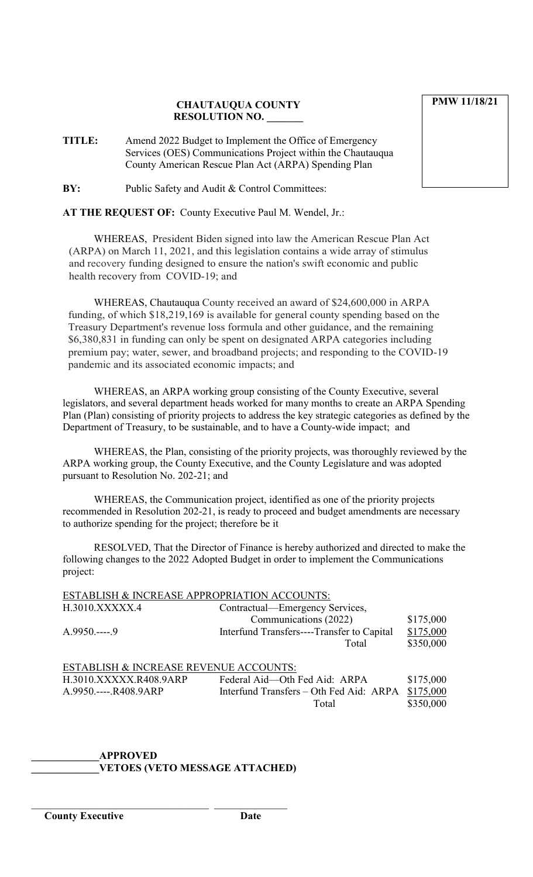## **CHAUTAUQUA COUNTY RESOLUTION NO. \_\_\_\_\_\_\_**

**TITLE:** Amend 2022 Budget to Implement the Office of Emergency Services (OES) Communications Project within the Chautauqua County American Rescue Plan Act (ARPA) Spending Plan

**BY:** Public Safety and Audit & Control Committees:

**AT THE REQUEST OF:** County Executive Paul M. Wendel, Jr.:

WHEREAS, President Biden signed into law the American Rescue Plan Act (ARPA) on March 11, 2021, and this legislation contains a wide array of stimulus and recovery funding designed to ensure the nation's swift economic and public health recovery from COVID-19; and

WHEREAS, Chautauqua County received an award of \$24,600,000 in ARPA funding, of which \$18,219,169 is available for general county spending based on the Treasury Department's revenue loss formula and other guidance, and the remaining \$6,380,831 in funding can only be spent on designated ARPA categories including premium pay; water, sewer, and broadband projects; and responding to the COVID-19 pandemic and its associated economic impacts; and

WHEREAS, an ARPA working group consisting of the County Executive, several legislators, and several department heads worked for many months to create an ARPA Spending Plan (Plan) consisting of priority projects to address the key strategic categories as defined by the Department of Treasury, to be sustainable, and to have a County-wide impact; and

WHEREAS, the Plan, consisting of the priority projects, was thoroughly reviewed by the ARPA working group, the County Executive, and the County Legislature and was adopted pursuant to Resolution No. 202-21; and

WHEREAS, the Communication project, identified as one of the priority projects recommended in Resolution 202-21, is ready to proceed and budget amendments are necessary to authorize spending for the project; therefore be it

RESOLVED, That the Director of Finance is hereby authorized and directed to make the following changes to the 2022 Adopted Budget in order to implement the Communications project:

| ESTABLISH & INCREASE APPROPRIATION ACCOUNTS: |                                            |           |
|----------------------------------------------|--------------------------------------------|-----------|
| H.3010.XXXXX.4                               | Contractual—Emergency Services,            |           |
|                                              | Communications (2022)                      | \$175,000 |
| $A.9950---9$                                 | Interfund Transfers----Transfer to Capital | \$175,000 |
|                                              | Total                                      | \$350,000 |
|                                              |                                            |           |
| ESTABLISH & INCREASE REVENUE ACCOUNTS:       |                                            |           |
| H.3010.XXXXX.R408.9ARP                       | Federal Aid-Oth Fed Aid: ARPA              | \$175,000 |
| A.9950.----.R408.9ARP                        | Interfund Transfers - Oth Fed Aid: ARPA    | \$175,000 |
|                                              | Total                                      | \$350,000 |

# **\_\_\_\_\_\_\_\_\_\_\_\_\_APPROVED \_\_\_\_\_\_\_\_\_\_\_\_\_VETOES (VETO MESSAGE ATTACHED)**

\_\_\_\_\_\_\_\_\_\_\_\_\_\_\_\_\_\_\_\_\_\_\_\_\_\_\_\_\_\_\_\_\_\_ \_\_\_\_\_\_\_\_\_\_\_\_\_\_

**PMW 11/18/21**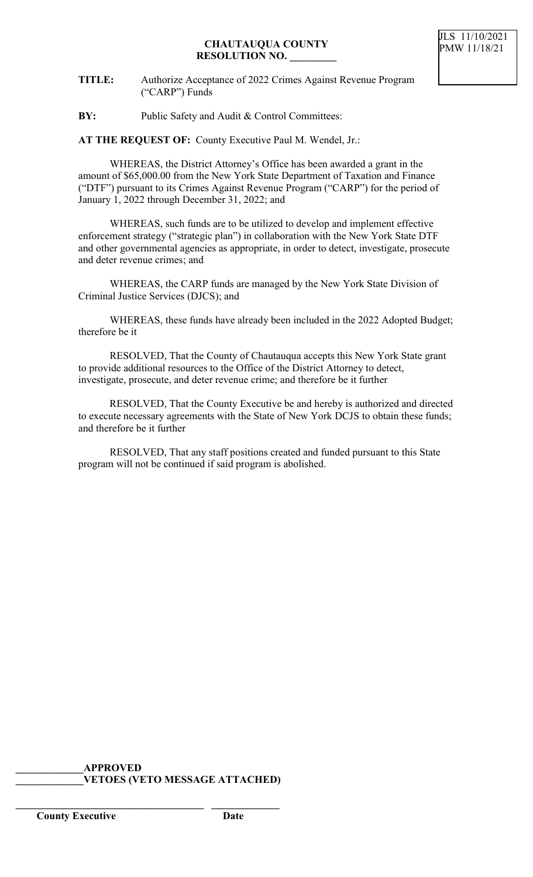**TITLE:** Authorize Acceptance of 2022 Crimes Against Revenue Program ("CARP") Funds

**BY:** Public Safety and Audit & Control Committees:

**AT THE REQUEST OF:** County Executive Paul M. Wendel, Jr.:

WHEREAS, the District Attorney's Office has been awarded a grant in the amount of \$65,000.00 from the New York State Department of Taxation and Finance ("DTF") pursuant to its Crimes Against Revenue Program ("CARP") for the period of January 1, 2022 through December 31, 2022; and

WHEREAS, such funds are to be utilized to develop and implement effective enforcement strategy ("strategic plan") in collaboration with the New York State DTF and other governmental agencies as appropriate, in order to detect, investigate, prosecute and deter revenue crimes; and

WHEREAS, the CARP funds are managed by the New York State Division of Criminal Justice Services (DJCS); and

WHEREAS, these funds have already been included in the 2022 Adopted Budget; therefore be it

RESOLVED, That the County of Chautauqua accepts this New York State grant to provide additional resources to the Office of the District Attorney to detect, investigate, prosecute, and deter revenue crime; and therefore be it further

RESOLVED, That the County Executive be and hereby is authorized and directed to execute necessary agreements with the State of New York DCJS to obtain these funds; and therefore be it further

RESOLVED, That any staff positions created and funded pursuant to this State program will not be continued if said program is abolished.

#### **\_\_\_\_\_\_\_\_\_\_\_\_\_APPROVED \_\_\_\_\_\_\_\_\_\_\_\_\_VETOES (VETO MESSAGE ATTACHED)**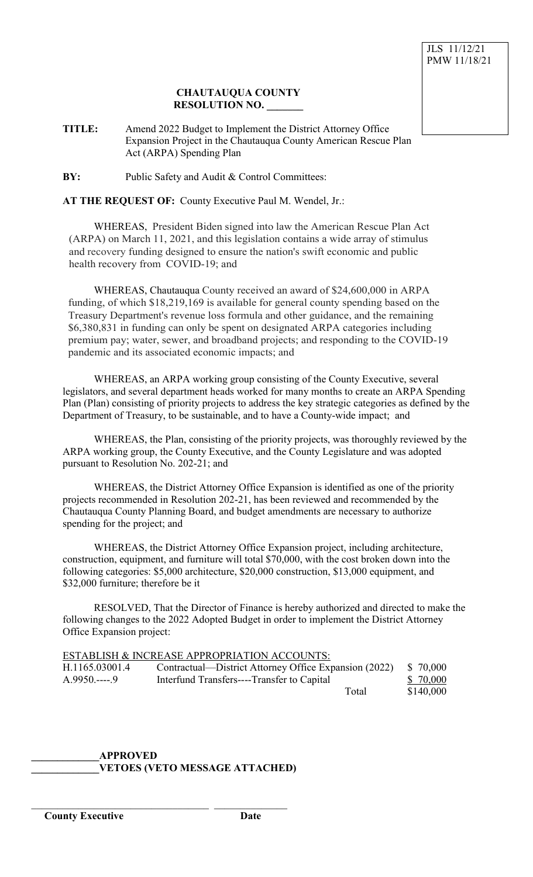### **CHAUTAUQUA COUNTY RESOLUTION NO. \_\_\_\_\_\_\_**

**TITLE:** Amend 2022 Budget to Implement the District Attorney Office Expansion Project in the Chautauqua County American Rescue Plan Act (ARPA) Spending Plan

**BY:** Public Safety and Audit & Control Committees:

### **AT THE REQUEST OF:** County Executive Paul M. Wendel, Jr.:

WHEREAS, President Biden signed into law the American Rescue Plan Act (ARPA) on March 11, 2021, and this legislation contains a wide array of stimulus and recovery funding designed to ensure the nation's swift economic and public health recovery from COVID-19; and

WHEREAS, Chautauqua County received an award of \$24,600,000 in ARPA funding, of which \$18,219,169 is available for general county spending based on the Treasury Department's revenue loss formula and other guidance, and the remaining \$6,380,831 in funding can only be spent on designated ARPA categories including premium pay; water, sewer, and broadband projects; and responding to the COVID-19 pandemic and its associated economic impacts; and

WHEREAS, an ARPA working group consisting of the County Executive, several legislators, and several department heads worked for many months to create an ARPA Spending Plan (Plan) consisting of priority projects to address the key strategic categories as defined by the Department of Treasury, to be sustainable, and to have a County-wide impact; and

WHEREAS, the Plan, consisting of the priority projects, was thoroughly reviewed by the ARPA working group, the County Executive, and the County Legislature and was adopted pursuant to Resolution No. 202-21; and

WHEREAS, the District Attorney Office Expansion is identified as one of the priority projects recommended in Resolution 202-21, has been reviewed and recommended by the Chautauqua County Planning Board, and budget amendments are necessary to authorize spending for the project; and

WHEREAS, the District Attorney Office Expansion project, including architecture, construction, equipment, and furniture will total \$70,000, with the cost broken down into the following categories: \$5,000 architecture, \$20,000 construction, \$13,000 equipment, and \$32,000 furniture; therefore be it

RESOLVED, That the Director of Finance is hereby authorized and directed to make the following changes to the 2022 Adopted Budget in order to implement the District Attorney Office Expansion project:

|                | ESTABLISH & INCREASE APPROPRIATION ACCOUNTS:          |           |
|----------------|-------------------------------------------------------|-----------|
| H.1165.03001.4 | Contractual—District Attorney Office Expansion (2022) | \$ 70,000 |
| $A.9950$ 9     | Interfund Transfers----Transfer to Capital            | \$ 70,000 |
|                | Total                                                 | \$140,000 |

### **\_\_\_\_\_\_\_\_\_\_\_\_\_APPROVED \_\_\_\_\_\_\_\_\_\_\_\_\_VETOES (VETO MESSAGE ATTACHED)**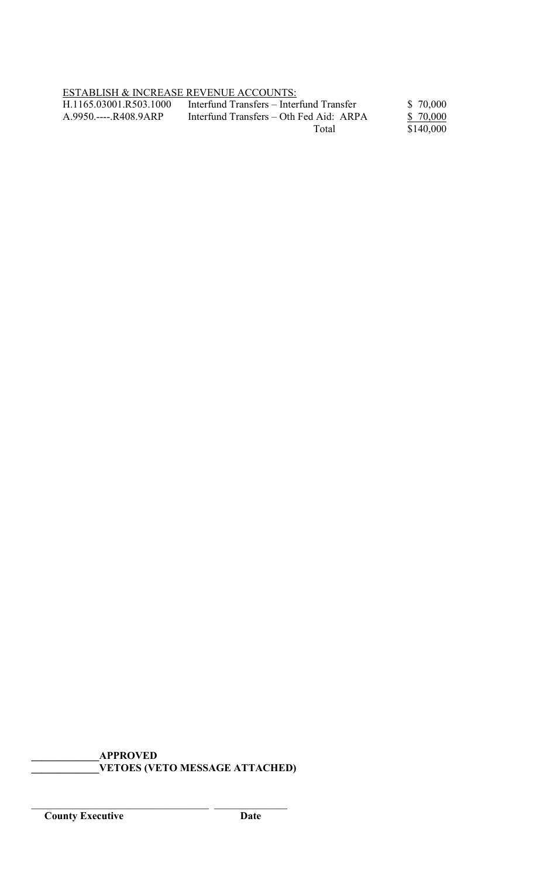ESTABLISH & INCREASE REVENUE ACCOUNTS:<br>H.1165.03001.R503.1000 Interfund Transfers - Inter H.1165.03001.R503.1000 Interfund Transfers – Interfund Transfer \$ 70,000<br>A.9950.----.R408.9ARP Interfund Transfers – Oth Fed Aid: ARPA \$ 70,000 Interfund Transfers – Oth Fed Aid: ARPA Total  $\frac{9 + 6,000}{\$140,000}$ 

**\_\_\_\_\_\_\_\_\_\_\_\_\_APPROVED \_\_\_\_\_\_\_\_\_\_\_\_\_VETOES (VETO MESSAGE ATTACHED)**